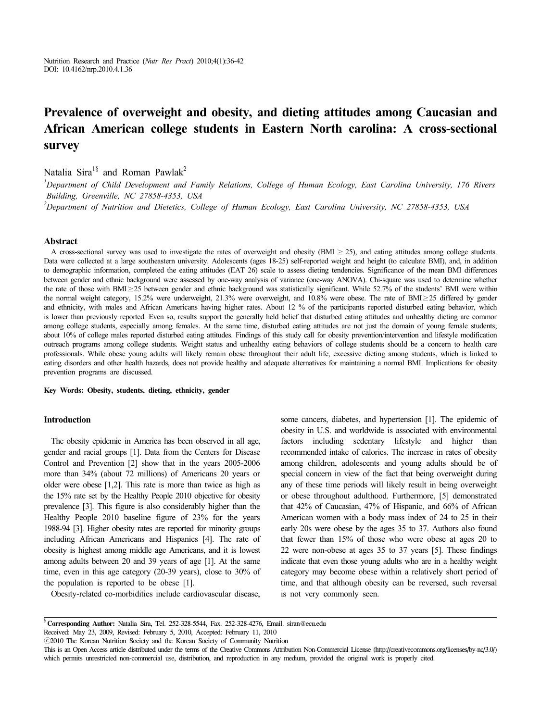# **Prevalence of overweight and obesity, and dieting attitudes among Caucasian and African American college students in Eastern North carolina: A cross-sectional survey**

Natalia Sira<sup>1§</sup> and Roman Pawlak<sup>2</sup>

<sup>1</sup>Department of Child Development and Family Relations, College of Human Ecology, East Carolina University, 176 Rivers *Building, Greenville, NC 27858-4353, USA*

*2 Department of Nutrition and Dietetics, College of Human Ecology, East Carolina University, NC 27858-4353, USA*

# **Abstract**

A cross-sectional survey was used to investigate the rates of overweight and obesity (BMI  $\geq$  25), and eating attitudes among college students. Data were collected at a large southeastern university. Adolescents (ages 18-25) self-reported weight and height (to calculate BMI), and, in addition to demographic information, completed the eating attitudes (EAT 26) scale to assess dieting tendencies. Significance of the mean BMI differences between gender and ethnic background were assessed by one-way analysis of variance (one-way ANOVA). Chi-square was used to determine whether the rate of those with BMI≥25 between gender and ethnic background was statistically significant. While 52.7% of the students' BMI were within the normal weight category, 15.2% were underweight, 21.3% were overweight, and 10.8% were obese. The rate of BMI≥25 differed by gender and ethnicity, with males and African Americans having higher rates. About 12 % of the participants reported disturbed eating behavior, which is lower than previously reported. Even so, results support the generally held belief that disturbed eating attitudes and unhealthy dieting are common among college students, especially among females. At the same time, disturbed eating attitudes are not just the domain of young female students; about 10% of college males reported disturbed eating attitudes. Findings of this study call for obesity prevention/intervention and lifestyle modification outreach programs among college students. Weight status and unhealthy eating behaviors of college students should be a concern to health care professionals. While obese young adults will likely remain obese throughout their adult life, excessive dieting among students, which is linked to eating disorders and other health hazards, does not provide healthy and adequate alternatives for maintaining a normal BMI. Implications for obesity prevention programs are discussed.

#### **Key Words: Obesity, students, dieting, ethnicity, gender**

## **Introduction6)**

The obesity epidemic in America has been observed in all age, gender and racial groups [1]. Data from the Centers for Disease Control and Prevention [2] show that in the years 2005-2006 more than 34% (about 72 millions) of Americans 20 years or older were obese [1,2]. This rate is more than twice as high as the 15% rate set by the Healthy People 2010 objective for obesity prevalence [3]. This figure is also considerably higher than the Healthy People 2010 baseline figure of 23% for the years 1988-94 [3]. Higher obesity rates are reported for minority groups including African Americans and Hispanics [4]. The rate of obesity is highest among middle age Americans, and it is lowest among adults between 20 and 39 years of age [1]. At the same time, even in this age category (20-39 years), close to 30% of the population is reported to be obese [1].

Obesity-related co-morbidities include cardiovascular disease,

some cancers, diabetes, and hypertension [1]. The epidemic of obesity in U.S. and worldwide is associated with environmental factors including sedentary lifestyle and higher than recommended intake of calories. The increase in rates of obesity among children, adolescents and young adults should be of special concern in view of the fact that being overweight during any of these time periods will likely result in being overweight or obese throughout adulthood. Furthermore, [5] demonstrated that 42% of Caucasian, 47% of Hispanic, and 66% of African American women with a body mass index of 24 to 25 in their early 20s were obese by the ages 35 to 37. Authors also found that fewer than 15% of those who were obese at ages 20 to 22 were non-obese at ages 35 to 37 years [5]. These findings indicate that even those young adults who are in a healthy weight category may become obese within a relatively short period of time, and that although obesity can be reversed, such reversal is not very commonly seen.

§ **Corresponding Author:** Natalia Sira, Tel. 252-328-5544, Fax. 252-328-4276, Email. siran@ecu.edu

Received: May 23, 2009, Revised: February 5, 2010, Accepted: February 11, 2010

ⓒ2010 The Korean Nutrition Society and the Korean Society of Community Nutrition

This is an Open Access article distributed under the terms of the Creative Commons Attribution Non-Commercial License (http://creativecommons.org/licenses/by-nc/3.0/) which permits unrestricted non-commercial use, distribution, and reproduction in any medium, provided the original work is properly cited.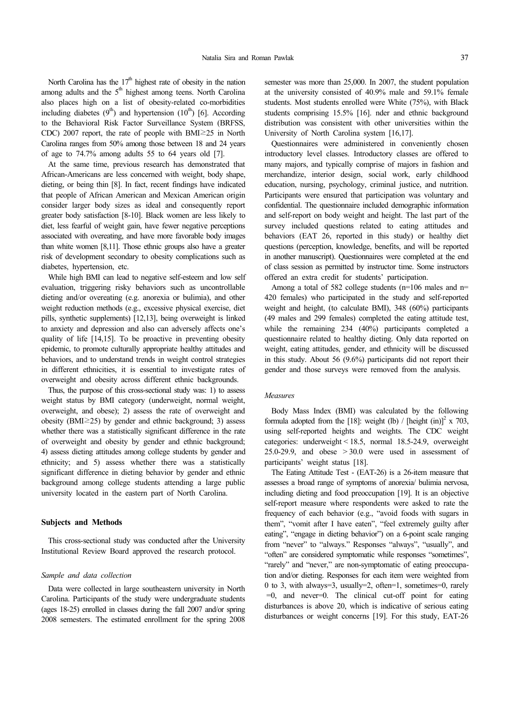North Carolina has the  $17<sup>th</sup>$  highest rate of obesity in the nation among adults and the  $5<sup>th</sup>$  highest among teens. North Carolina also places high on a list of obesity-related co-morbidities including diabetes  $(9<sup>th</sup>)$  and hypertension  $(10<sup>th</sup>)$  [6]. According to the Behavioral Risk Factor Surveillance System (BRFSS, CDC) 2007 report, the rate of people with BMI≥25 in North Carolina ranges from 50% among those between 18 and 24 years of age to 74.7% among adults 55 to 64 years old [7].

At the same time, previous research has demonstrated that African-Americans are less concerned with weight, body shape, dieting, or being thin [8]. In fact, recent findings have indicated that people of African American and Mexican American origin consider larger body sizes as ideal and consequently report greater body satisfaction [8-10]. Black women are less likely to diet, less fearful of weight gain, have fewer negative perceptions associated with overeating, and have more favorable body images than white women [8,11]. Those ethnic groups also have a greater risk of development secondary to obesity complications such as diabetes, hypertension, etc.

While high BMI can lead to negative self-esteem and low self evaluation, triggering risky behaviors such as uncontrollable dieting and/or overeating (e.g. anorexia or bulimia), and other weight reduction methods (e.g., excessive physical exercise, diet pills, synthetic supplements) [12,13], being overweight is linked to anxiety and depression and also can adversely affects one's quality of life [14,15]. To be proactive in preventing obesity epidemic, to promote culturally appropriate healthy attitudes and behaviors, and to understand trends in weight control strategies in different ethnicities, it is essential to investigate rates of overweight and obesity across different ethnic backgrounds.

Thus, the purpose of this cross-sectional study was: 1) to assess weight status by BMI category (underweight, normal weight, overweight, and obese); 2) assess the rate of overweight and obesity (BMI≥25) by gender and ethnic background; 3) assess whether there was a statistically significant difference in the rate of overweight and obesity by gender and ethnic background; 4) assess dieting attitudes among college students by gender and ethnicity; and 5) assess whether there was a statistically significant difference in dieting behavior by gender and ethnic background among college students attending a large public university located in the eastern part of North Carolina.

#### **Subjects and Methods**

This cross-sectional study was conducted after the University Institutional Review Board approved the research protocol.

#### *Sample and data collection*

Data were collected in large southeastern university in North Carolina. Participants of the study were undergraduate students (ages 18-25) enrolled in classes during the fall 2007 and/or spring 2008 semesters. The estimated enrollment for the spring 2008

semester was more than 25,000. In 2007, the student population at the university consisted of 40.9% male and 59.1% female students. Most students enrolled were White (75%), with Black students comprising 15.5% [16]. nder and ethnic background distribution was consistent with other universities within the University of North Carolina system [16,17].

Questionnaires were administered in conveniently chosen introductory level classes. Introductory classes are offered to many majors, and typically comprise of majors in fashion and merchandize, interior design, social work, early childhood education, nursing, psychology, criminal justice, and nutrition. Participants were ensured that participation was voluntary and confidential. The questionnaire included demographic information and self-report on body weight and height. The last part of the survey included questions related to eating attitudes and behaviors (EAT 26, reported in this study) or healthy diet questions (perception, knowledge, benefits, and will be reported in another manuscript). Questionnaires were completed at the end of class session as permitted by instructor time. Some instructors offered an extra credit for students' participation.

Among a total of 582 college students ( $n=106$  males and  $n=$ 420 females) who participated in the study and self-reported weight and height, (to calculate BMI), 348 (60%) participants (49 males and 299 females) completed the eating attitude test, while the remaining 234 (40%) participants completed a questionnaire related to healthy dieting. Only data reported on weight, eating attitudes, gender, and ethnicity will be discussed in this study. About 56 (9.6%) participants did not report their gender and those surveys were removed from the analysis.

# *Measures*

Body Mass Index (BMI) was calculated by the following formula adopted from the [18]: weight (lb) / [height (in)]<sup>2</sup> x 703, using self-reported heights and weights. The CDC weight categories: underweight < 18.5, normal 18.5-24.9, overweight 25.0-29.9, and obese  $>30.0$  were used in assessment of participants' weight status [18].

The Eating Attitude Test - (EAT-26) is a 26-item measure that assesses a broad range of symptoms of anorexia/ bulimia nervosa, including dieting and food preoccupation [19]. It is an objective self-report measure where respondents were asked to rate the frequency of each behavior (e.g., "avoid foods with sugars in them", "vomit after I have eaten", "feel extremely guilty after eating", "engage in dieting behavior") on a 6-point scale ranging from "never" to "always." Responses "always", "usually", and "often" are considered symptomatic while responses "sometimes", "rarely" and "never," are non-symptomatic of eating preoccupation and/or dieting. Responses for each item were weighted from 0 to 3, with always=3, usually=2, often=1, sometimes=0, rarely  $=0$ , and never $=0$ . The clinical cut-off point for eating disturbances is above 20, which is indicative of serious eating disturbances or weight concerns [19]. For this study, EAT-26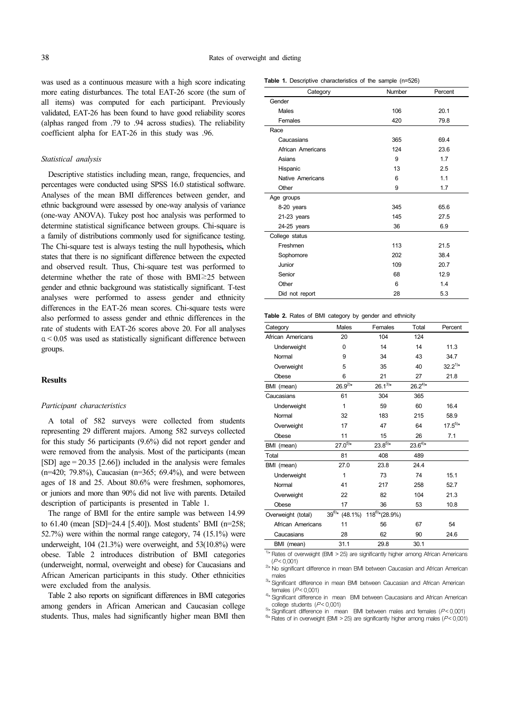was used as a continuous measure with a high score indicating more eating disturbances. The total EAT-26 score (the sum of all items) was computed for each participant. Previously validated, EAT-26 has been found to have good reliability scores (alphas ranged from .79 to .94 across studies). The reliability coefficient alpha for EAT-26 in this study was .96.

# *Statistical analysis*

Descriptive statistics including mean, range, frequencies, and percentages were conducted using SPSS 16.0 statistical software. Analyses of the mean BMI differences between gender, and ethnic background were assessed by one-way analysis of variance (one-way ANOVA). Tukey post hoc analysis was performed to determine statistical significance between groups. Chi-square is a family of distributions commonly used for significance testing. The Chi-square test is always testing the null hypothesis**,** which states that there is no significant difference between the expected and observed result. Thus, Chi-square test was performed to determine whether the rate of those with BMI≥25 between gender and ethnic background was statistically significant. T-test analyses were performed to assess gender and ethnicity differences in the EAT-26 mean scores. Chi-square tests were also performed to assess gender and ethnic differences in the rate of students with EAT-26 scores above 20. For all analyses  $\alpha$  < 0.05 was used as statistically significant difference between groups.

### **Results**

## *Participant characteristics*

A total of 582 surveys were collected from students representing 29 different majors. Among 582 surveys collected for this study 56 participants (9.6%) did not report gender and were removed from the analysis. Most of the participants (mean [SD] age  $= 20.35$  [2.66]) included in the analysis were females (n=420; 79.8%), Caucasian (n=365; 69.4%), and were between ages of 18 and 25. About 80.6% were freshmen, sophomores, or juniors and more than 90% did not live with parents. Detailed description of participants is presented in Table 1.

The range of BMI for the entire sample was between 14.99 to 61.40 (mean [SD]=24.4 [5.40]). Most students' BMI (n=258; 52.7%) were within the normal range category, 74 (15.1%) were underweight, 104 (21.3%) were overweight, and 53(10.8%) were obese. Table 2 introduces distribution of BMI categories (underweight, normal, overweight and obese) for Caucasians and African American participants in this study. Other ethnicities were excluded from the analysis.

Table 2 also reports on significant differences in BMI categories among genders in African American and Caucasian college students. Thus, males had significantly higher mean BMI then

|  |  |  | Table 1. Descriptive characteristics of the sample (n=526) |  |  |  |  |
|--|--|--|------------------------------------------------------------|--|--|--|--|
|--|--|--|------------------------------------------------------------|--|--|--|--|

| Category                | Number | Percent |  |  |  |
|-------------------------|--------|---------|--|--|--|
| Gender                  |        |         |  |  |  |
| <b>Males</b>            | 106    | 20.1    |  |  |  |
| Females                 | 420    | 79.8    |  |  |  |
| Race                    |        |         |  |  |  |
| Caucasians              | 365    | 69.4    |  |  |  |
| African Americans       | 124    | 23.6    |  |  |  |
| Asians                  | 9      | 1.7     |  |  |  |
| Hispanic                | 13     | 2.5     |  |  |  |
| <b>Native Americans</b> | 6      | 1.1     |  |  |  |
| Other                   | 9      | 1.7     |  |  |  |
| Age groups              |        |         |  |  |  |
| 8-20 years              | 345    | 65.6    |  |  |  |
| $21-23$ years           | 145    | 27.5    |  |  |  |
| 24-25 years             | 36     | 6.9     |  |  |  |
| College status          |        |         |  |  |  |
| Freshmen                | 113    | 21.5    |  |  |  |
| Sophomore               | 202    | 38.4    |  |  |  |
| Junior                  | 109    | 20.7    |  |  |  |
| Senior                  | 68     | 12.9    |  |  |  |
| Other                   | 6      | 1.4     |  |  |  |
| Did not report          | 28     | 5.3     |  |  |  |

**Table 2.** Rates of BMI category by gender and ethnicity

| Category           | <b>Males</b>             | Females            | Total        | Percent      |
|--------------------|--------------------------|--------------------|--------------|--------------|
| African Americans  | 20                       | 104                | 124          |              |
| Underweight        | 0                        | 14                 | 14           | 11.3         |
| Normal             | 9                        | 34                 | 43           | 34.7         |
| Overweight         | 5                        | 35                 | 40           | $32.2^{1)*}$ |
| Obese              | 6                        | 21                 | 27           | 21.8         |
| BMI (mean)         | $26.9^{2)*}$             | $26.1^{3)*}$       | $26.2^{4)*}$ |              |
| Caucasians         | 61                       | 304                | 365          |              |
| Underweight        | 1                        | 59                 | 60           | 16.4         |
| Normal             | 32                       | 183                | 215          | 58.9         |
| Overweight         | 17                       | 47                 | 64           | $17.5^{5)*}$ |
| Obese              | 11                       | 15                 | 26           | 7.1          |
| BMI (mean)         | $27.0^{5)*}$             | $23.8^{5)*}$       | $23.6^{4)*}$ |              |
| Total              | 81                       | 408                | 489          |              |
| BMI (mean)         | 27.0                     | 23.8               | 24.4         |              |
| Underweight        | 1                        | 73                 | 74           | 15.1         |
| Normal             | 41                       | 217                | 258          | 52.7         |
| Overweight         | 22                       | 82                 | 104          | 21.3         |
| Obese              | 17                       | 36                 | 53           | 10.8         |
| Overweight (total) | $39^{6)*}$<br>$(48.1\%)$ | $118^{6)*}(28.9%)$ |              |              |
| African Americans  | 11                       | 56                 | 67           | 54           |
| Caucasians         | 28                       | 62                 | 90           | 24.6         |
| BMI (mean)         | 31.1                     | 29.8               | 30.1         |              |
|                    |                          |                    |              |              |

<sup>1)\*</sup> Pates of overweight (BMI > 25) are significantly higher among African Americans ( $P$  < 0 001)

 $\frac{p}{p}$ . No significant difference in mean BMI between Caucasian and African American males

3)\* Significant difference in mean BMI between Caucasian and African American

females ( $P < 0.001$ )<br><sup>4)\*</sup> Significant difference in mean BMI between Caucasians and African American<br>college students ( $P < 0.001$ )

<sup>5)</sup>\* Significant difference in mean BMI between males and females ( $P < 0.001$ ) <sup>6)\*</sup> Rates of in overweight (BMI > 25) are significantly higher among males ( $P < 0.001$ )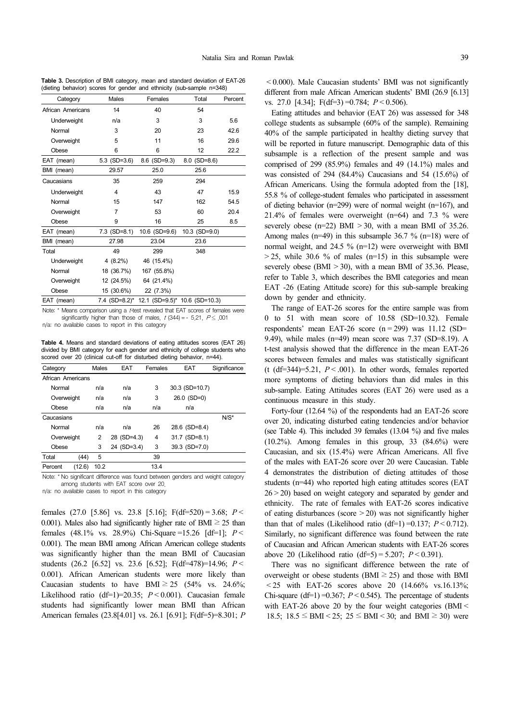| (dieting behavior) scores for genuer and ethnicity (sub-sample n-346) |                  |                 |                               |         |
|-----------------------------------------------------------------------|------------------|-----------------|-------------------------------|---------|
| Category                                                              | <b>Males</b>     | Females         | Total                         | Percent |
| African Americans                                                     | 14               | 40              | 54                            |         |
| Underweight                                                           | n/a              | 3               | 3                             | 5.6     |
| Normal                                                                | 3                | 20              | 23                            | 42.6    |
| Overweight                                                            | 5                | 11              | 16                            | 29.6    |
| Obese                                                                 | 6                | 6               | 12                            | 22.2    |
| EAT (mean)                                                            | 5.3 $(SD=3.6)$   | $8.6$ (SD=9.3)  | $8.0$ (SD= $8.6$ )            |         |
| BMI (mean)                                                            | 29.57            | 25.0            | 25.6                          |         |
| Caucasians                                                            | 35               | 259             | 294                           |         |
| Underweight                                                           | $\overline{4}$   | 43              | 47                            | 15.9    |
| Normal                                                                | 15               | 147             | 162                           | 54.5    |
| Overweight                                                            | $\overline{7}$   | 53              | 60                            | 20.4    |
| Obese                                                                 | 9                | 16              | 25                            | 8.5     |
| EAT (mean)                                                            | $7.3$ (SD=8.1)   | $10.6$ (SD=9.6) | 10.3 (SD=9.0)                 |         |
| BMI (mean)                                                            | 27.98            | 23.04           | 23.6                          |         |
| Total                                                                 | 49               | 299             | 348                           |         |
| Underweight                                                           | 4 (8.2%)         | 46 (15.4%)      |                               |         |
| Normal                                                                | 18 (36.7%)       | 167 (55.8%)     |                               |         |
| Overweight                                                            | 12 (24.5%)       | 64 (21.4%)      |                               |         |
| Obese                                                                 | 15 (30.6%)       | 22 (7.3%)       |                               |         |
| EAT (mean)                                                            | 7.4 $(SD=8.2)^*$ |                 | 12.1 (SD=9.5)* 10.6 (SD=10.3) |         |

**Table 3.** Description of BMI category, mean and standard deviation of EAT-26 (dieting behavior) scores for gender and ethnicity (sub-sample n=348)

Note: \* Means comparison using a t-test revealed that EAT scores of females were significantly higher than those of males,  $t$  (344) = - 5.21,  $P \leq 0.001$ n/a: no available cases to report in this category

**Table 4.** Means and standard deviations of eating attitudes scores (EAT 26) divided by BMI category for each gender and ethnicity of college students who scored over 20 (clinical cut-off for disturbed dieting behavior, n=44).

| Category          |        | <b>Males</b> | <b>EAT</b>  | Females | <b>EAT</b>     | Significance |
|-------------------|--------|--------------|-------------|---------|----------------|--------------|
| African Americans |        |              |             |         |                |              |
| Normal            |        | n/a          | n/a         | 3       | 30.3 (SD=10.7) |              |
| Overweight        |        | n/a          | n/a         | 3       | 26.0 (SD=0)    |              |
| Obese             |        | n/a          | n/a         | n/a     | n/a            |              |
| Caucasians        |        |              |             |         |                | $N/S^*$      |
| Normal            |        | n/a          | n/a         | 26      | 28.6 (SD=8.4)  |              |
| Overweight        |        | 2            | 28 (SD=4.3) | 4       | 31.7 (SD=8.1)  |              |
| Obese             |        | 3            | 24 (SD=3.4) | 3       | 39.3 (SD=7.0)  |              |
| Total             | (44)   | 5            |             | 39      |                |              |
| Percent           | (12.6) | 10.2         |             | 13.4    |                |              |

Note: \* No significant difference was found between genders and weight category among students with EAT score over 20.

n/a: no available cases to report in this category

females (27.0 [5.86] vs. 23.8 [5.16]; F(df=520) = 3.68; *P* < 0.001). Males also had significantly higher rate of BMI  $\geq$  25 than females (48.1% vs. 28.9%) Chi-Square =15.26 [df=1]; *P* < 0.001). The mean BMI among African American college students was significantly higher than the mean BMI of Caucasian students (26.2 [6.52] vs. 23.6 [6.52]; F(df=478)=14.96; *P* < 0.001). African American students were more likely than Caucasian students to have BMI  $\geq$  25 (54% vs. 24.6%; Likelihood ratio (df=1)=20.35; *P* < 0.001). Caucasian female students had significantly lower mean BMI than African American females (23.8[4.01] vs. 26.1 [6.91]; F(df=5)=8.301; *P*

< 0.000). Male Caucasian students' BMI was not significantly different from male African American students' BMI (26.9 [6.13] vs. 27.0 [4.34]; F(df=3) =0.784; *P* < 0.506).

Eating attitudes and behavior (EAT 26) was assessed for 348 college students as subsample (60% of the sample). Remaining 40% of the sample participated in healthy dieting survey that will be reported in future manuscript. Demographic data of this subsample is a reflection of the present sample and was comprised of 299 (85.9%) females and 49 (14.1%) males and was consisted of 294 (84.4%) Caucasians and 54 (15.6%) of African Americans. Using the formula adopted from the [18], 55.8 % of college-student females who participated in assessment of dieting behavior (n=299) were of normal weight (n=167), and 21.4% of females were overweight (n=64) and 7.3 % were severely obese ( $n=22$ ) BMI > 30, with a mean BMI of 35.26. Among males (n=49) in this subsample 36.7 % (n=18) were of normal weight, and 24.5 % (n=12) were overweight with BMI  $> 25$ , while 30.6 % of males (n=15) in this subsample were severely obese (BMI  $> 30$ ), with a mean BMI of 35.36. Please, refer to Table 3, which describes the BMI categories and mean EAT -26 (Eating Attitude score) for this sub-sample breaking down by gender and ethnicity.

The range of EAT-26 scores for the entire sample was from 0 to 51 with mean score of 10.58 (SD=10.32). Female respondents' mean EAT-26 score  $(n = 299)$  was 11.12 (SD= 9.49), while males (n=49) mean score was 7.37 (SD=8.19). A t-test analysis showed that the difference in the mean EAT-26 scores between females and males was statistically significant (t  $(df=344)=5.21$ ,  $P < .001$ ). In other words, females reported more symptoms of dieting behaviors than did males in this sub-sample. Eating Attitudes scores (EAT 26) were used as a continuous measure in this study.

Forty-four (12.64 %) of the respondents had an EAT-26 score over 20, indicating disturbed eating tendencies and/or behavior (see Table 4). This included 39 females (13.04 %) and five males  $(10.2\%)$ . Among females in this group, 33  $(84.6\%)$  were Caucasian, and six (15.4%) were African Americans. All five of the males with EAT-26 score over 20 were Caucasian. Table 4 demonstrates the distribution of dieting attitudes of those students (n=44) who reported high eating attitudes scores (EAT  $26 > 20$ ) based on weight category and separated by gender and ethnicity. The rate of females with EAT-26 scores indicative of eating disturbances (score  $>$  20) was not significantly higher than that of males (Likelihood ratio  $(df=1) = 0.137$ ;  $P < 0.712$ ). Similarly, no significant difference was found between the rate of Caucasian and African American students with EAT-26 scores above 20 (Likelihood ratio (df=5) = 5.207; *P* < 0.391).

There was no significant difference between the rate of overweight or obese students (BMI  $\geq$  25) and those with BMI  $< 25$  with EAT-26 scores above 20 (14.66% vs.16.13%; Chi-square  $(df=1) = 0.367$ ;  $P < 0.545$ ). The percentage of students with EAT-26 above 20 by the four weight categories (BMI < 18.5;  $18.5 \leq BMI < 25$ ;  $25 \leq BMI < 30$ ; and  $BMI \geq 30$ ) were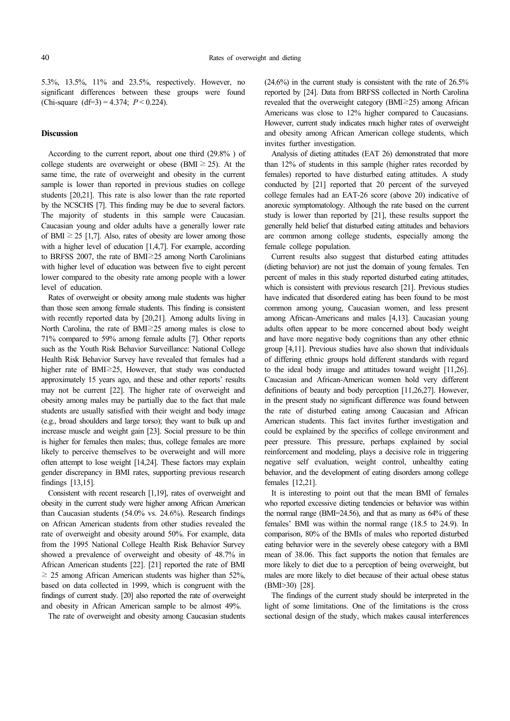5.3%, 13.5%, 11% and 23.5%, respectively. However, no significant differences between these groups were found (Chi-square (df=3) = 4.374; *P* < 0.224).

# **Discussion**

According to the current report, about one third (29.8% ) of college students are overweight or obese (BMI  $\geq$  25). At the same time, the rate of overweight and obesity in the current sample is lower than reported in previous studies on college students [20,21]. This rate is also lower than the rate reported by the NCSCHS [7]. This finding may be due to several factors. The majority of students in this sample were Caucasian. Caucasian young and older adults have a generally lower rate of BMI  $\geq$  25 [1,7]. Also, rates of obesity are lower among those with a higher level of education [1,4,7]. For example, according to BRFSS 2007, the rate of BMI≥25 among North Carolinians with higher level of education was between five to eight percent lower compared to the obesity rate among people with a lower level of education.

Rates of overweight or obesity among male students was higher than those seen among female students. This finding is consistent with recently reported data by [20,21]. Among adults living in North Carolina, the rate of BMI≥25 among males is close to 71% compared to 59% among female adults [7]. Other reports such as the Youth Risk Behavior Surveillance: National College Health Risk Behavior Survey have revealed that females had a higher rate of BMI≥25, However, that study was conducted approximately 15 years ago, and these and other reports' results may not be current [22]. The higher rate of overweight and obesity among males may be partially due to the fact that male students are usually satisfied with their weight and body image (e.g., broad shoulders and large torso); they want to bulk up and increase muscle and weight gain [23]. Social pressure to be thin is higher for females then males; thus, college females are more likely to perceive themselves to be overweight and will more often attempt to lose weight [14,24]. These factors may explain gender discrepancy in BMI rates, supporting previous research findings [13,15].

Consistent with recent research [1,19], rates of overweight and obesity in the current study were higher among African American than Caucasian students (54.0% vs. 24.6%). Research findings on African American students from other studies revealed the rate of overweight and obesity around 50%. For example, data from the 1995 National College Health Risk Behavior Survey showed a prevalence of overweight and obesity of 48.7% in African American students [22]. [21] reported the rate of BMI  $\geq$  25 among African American students was higher than 52%, based on data collected in 1999, which is congruent with the findings of current study. [20] also reported the rate of overweight and obesity in African American sample to be almost 49%.

The rate of overweight and obesity among Caucasian students

 $(24.6\%)$  in the current study is consistent with the rate of  $26.5\%$ reported by [24]. Data from BRFSS collected in North Carolina revealed that the overweight category (BMI≥25) among African Americans was close to 12% higher compared to Caucasians. However, current study indicates much higher rates of overweight and obesity among African American college students, which invites further investigation.

Analysis of dieting attitudes (EAT 26) demonstrated that more than 12% of students in this sample (higher rates recorded by females) reported to have disturbed eating attitudes. A study conducted by [21] reported that 20 percent of the surveyed college females had an EAT-26 score (above 20) indicative of anorexic symptomatology. Although the rate based on the current study is lower than reported by [21], these results support the generally held belief that disturbed eating attitudes and behaviors are common among college students, especially among the female college population.

Current results also suggest that disturbed eating attitudes (dieting behavior) are not just the domain of young females. Ten percent of males in this study reported disturbed eating attitudes, which is consistent with previous research [21]. Previous studies have indicated that disordered eating has been found to be most common among young, Caucasian women, and less present among African-Americans and males [4,13]. Caucasian young adults often appear to be more concerned about body weight and have more negative body cognitions than any other ethnic group [4,11]. Previous studies have also shown that individuals of differing ethnic groups hold different standards with regard to the ideal body image and attitudes toward weight [11,26]. Caucasian and African-American women hold very different definitions of beauty and body perception [11,26,27]. However, in the present study no significant difference was found between the rate of disturbed eating among Caucasian and African American students. This fact invites further investigation and could be explained by the specifics of college environment and peer pressure. This pressure, perhaps explained by social reinforcement and modeling, plays a decisive role in triggering negative self evaluation, weight control, unhealthy eating behavior, and the development of eating disorders among college females [12,21].

It is interesting to point out that the mean BMI of females who reported excessive dieting tendencies or behavior was within the normal range (BMI=24.56), and that as many as 64% of these females' BMI was within the normal range (18.5 to 24.9). In comparison, 80% of the BMIs of males who reported disturbed eating behavior were in the severely obese category with a BMI mean of 38.06. This fact supports the notion that females are more likely to diet due to a perception of being overweight, but males are more likely to diet because of their actual obese status (BMI>30) [28].

The findings of the current study should be interpreted in the light of some limitations. One of the limitations is the cross sectional design of the study, which makes causal interferences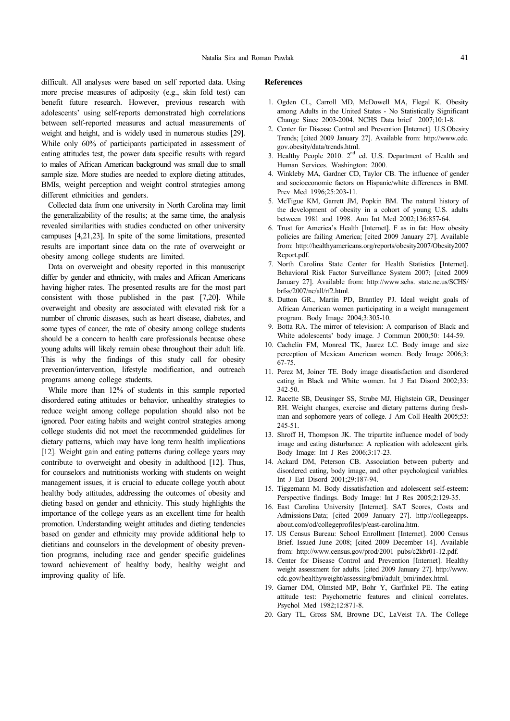difficult. All analyses were based on self reported data. Using more precise measures of adiposity (e.g., skin fold test) can benefit future research. However, previous research with adolescents' using self-reports demonstrated high correlations between self-reported measures and actual measurements of weight and height, and is widely used in numerous studies [29]. While only 60% of participants participated in assessment of eating attitudes test, the power data specific results with regard to males of African American background was small due to small sample size. More studies are needed to explore dieting attitudes, BMIs, weight perception and weight control strategies among different ethnicities and genders.

Collected data from one university in North Carolina may limit the generalizability of the results; at the same time, the analysis revealed similarities with studies conducted on other university campuses [4,21,23]. In spite of the some limitations, presented results are important since data on the rate of overweight or obesity among college students are limited.

Data on overweight and obesity reported in this manuscript differ by gender and ethnicity, with males and African Americans having higher rates. The presented results are for the most part consistent with those published in the past [7,20]. While overweight and obesity are associated with elevated risk for a number of chronic diseases, such as heart disease, diabetes, and some types of cancer, the rate of obesity among college students should be a concern to health care professionals because obese young adults will likely remain obese throughout their adult life. This is why the findings of this study call for obesity prevention/intervention, lifestyle modification, and outreach programs among college students.

While more than 12% of students in this sample reported disordered eating attitudes or behavior, unhealthy strategies to reduce weight among college population should also not be ignored. Poor eating habits and weight control strategies among college students did not meet the recommended guidelines for dietary patterns, which may have long term health implications [12]. Weight gain and eating patterns during college years may contribute to overweight and obesity in adulthood [12]. Thus, for counselors and nutritionists working with students on weight management issues, it is crucial to educate college youth about healthy body attitudes, addressing the outcomes of obesity and dieting based on gender and ethnicity. This study highlights the importance of the college years as an excellent time for health promotion. Understanding weight attitudes and dieting tendencies based on gender and ethnicity may provide additional help to dietitians and counselors in the development of obesity prevention programs, including race and gender specific guidelines toward achievement of healthy body, healthy weight and improving quality of life.

### **References**

- 1. Ogden CL, Carroll MD, McDowell MA, Flegal K. Obesity among Adults in the United States - No Statistically Significant Change Since 2003-2004. NCHS Data brief 2007;10:1-8.
- 2. Center for Disease Control and Prevention [Internet]. U.S.Obesiry Trends; [cited 2009 January 27]. Available from: http://www.cdc. gov.obesity/data/trends.html.
- 3. Healthy People 2010.  $2^{nd}$  ed. U.S. Department of Health and Human Services. Washington: 2000.
- 4. Winkleby MA, Gardner CD, Taylor CB. The influence of gender and socioeconomic factors on Hispanic/white differences in BMI. Prev Med 1996;25:203-11.
- 5. McTigue KM, Garrett JM, Popkin BM. The natural history of the development of obesity in a cohort of young U.S. adults between 1981 and 1998. Ann Int Med 2002;136:857-64.
- 6. Trust for America's Health [Internet]. F as in fat: How obesity policies are failing America; [cited 2009 January 27]. Available from: http://healthyamericans.org/reports/obesity2007/Obesity2007 Report.pdf.
- 7. North Carolina State Center for Health Statistics [Internet]. Behavioral Risk Factor Surveillance System 2007; [cited 2009 January 27]. Available from: http://www.schs. state.nc.us/SCHS/ brfss/2007/nc/all/rf2.html.
- 8. Dutton GR., Martin PD, Brantley PJ. Ideal weight goals of African American women participating in a weight management program. Body Image 2004;3:305-10.
- 9. Botta RA. The mirror of television: A comparison of Black and White adolescents' body image. J Commun 2000;50: 144-59.
- 10. Cachelin FM, Monreal TK, Juarez LC. Body image and size perception of Mexican American women. Body Image 2006;3: 67-75.
- 11. Perez M, Joiner TE. Body image dissatisfaction and disordered eating in Black and White women. Int J Eat Disord 2002;33: 342-50.
- 12. Racette SB, Deusinger SS, Strube MJ, Highstein GR, Deusinger RH. Weight changes, exercise and dietary patterns during freshman and sophomore years of college. J Am Coll Health 2005;53: 245-51.
- 13. Shroff H, Thompson JK. The tripartite influence model of body image and eating disturbance: A replication with adolescent girls. Body Image: Int J Res 2006;3:17-23.
- 14. Ackard DM, Peterson CB. Association between puberty and disordered eating, body image, and other psychological variables. Int J Eat Disord 2001;29:187-94.
- 15. Tiggemann M. Body dissatisfaction and adolescent self-esteem: Perspective findings. Body Image: Int J Res 2005;2:129-35.
- 16. East Carolina University [Internet]. SAT Scores, Costs and Admissions Data; [cited 2009 January 27]. http://collegeapps. about.com/od/collegeprofiles/p/east-carolina.htm.
- 17. US Census Bureau: School Enrollment [Internet]. 2000 Census Brief. Issued June 2008; [cited 2009 December 14]. Available from: http://www.census.gov/prod/2001 pubs/c2kbr01-12.pdf.
- 18. Center for Disease Control and Prevention [Internet]. Healthy weight assessment for adults. [cited 2009 January 27]. http://www. cdc.gov/healthyweight/assessing/bmi/adult\_bmi/index.html.
- 19. Garner DM, Olmsted MP, Bohr Y, Garfinkel PE. The eating attitude test: Psychometric features and clinical correlates. Psychol Med 1982;12:871-8.
- 20. Gary TL, Gross SM, Browne DC, LaVeist TA. The College